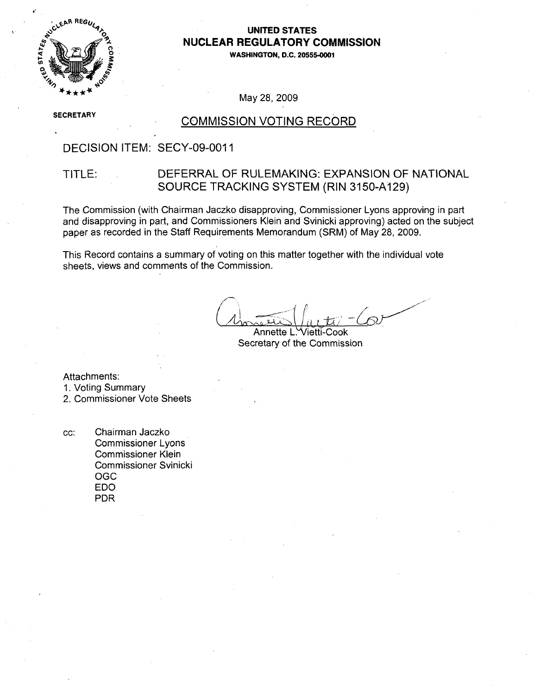

## -4., **UNITED STATES ANUCLEAR** REGULATORY **COMMISSION**

**1" WASHINGTON, D.C. 20555-0001**

May 28, 2009

**SECRETARY** 

### **COMMISSION VOTING RECORD**

### DECISION ITEM: SECY-09-0011

### TITLE: DEFERRAL OF RULEMAKING: EXPANSION OF NATIONAL SOURCE TRACKING SYSTEM (RIN 3150-A129)

The Commission (with Chairman Jaczko disapproving, Commissioner Lyons approving in part and disapproving in part, and Commissioners Klein and Svinicki approving) acted on the subject paper as recorded in the Staff Requirements Memorandum (SRM) of May 28, 2009.

This Record contains a summary of voting on this matter together with the individual vote sheets, views and comments of the Commission.

Annette L. Vietti-Cook Secretary of the Commission

Attachments:

1. Voting Summary

2. Commissioner Vote Sheets

cc: Chairman Jaczko Commissioner Lyons Commissioner Klein Commissioner Svinicki OGC EDO PDR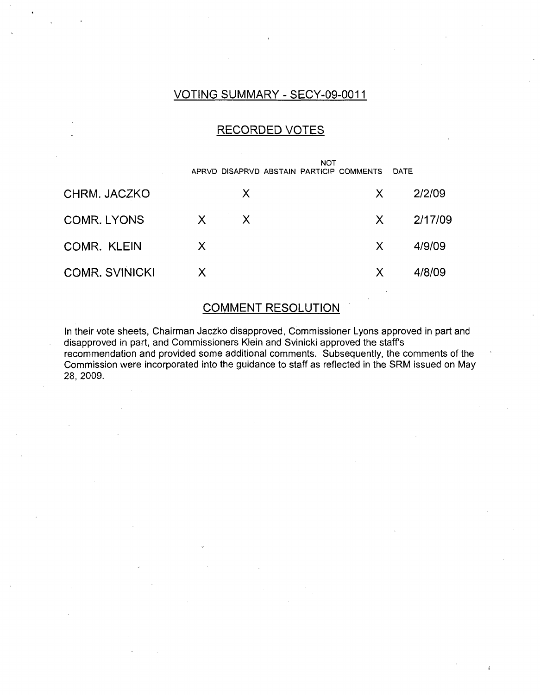## VOTING SUMMARY - SECY-09-0011

### RECORDED VOTES

|                       |              |        | <b>NOT</b><br>APRVD DISAPRVD ABSTAIN PARTICIP COMMENTS |              | <b>DATE</b> |
|-----------------------|--------------|--------|--------------------------------------------------------|--------------|-------------|
| CHRM. JACZKO          |              | X      |                                                        | X.           | 2/2/09      |
| <b>COMR. LYONS</b>    | $\mathsf{X}$ | $\chi$ |                                                        | $\mathsf{X}$ | 2/17/09     |
| COMR. KLEIN           | $\mathsf{X}$ |        |                                                        | $\mathsf{X}$ | 4/9/09      |
| <b>COMR. SVINICKI</b> | X            |        |                                                        | X            | 4/8/09      |

### COMMENT RESOLUTION

In their vote sheets, Chairman Jaczko disapproved, Commissioner Lyons approved in part and disapproved in part, and Commissioners Klein and Svinicki approved the staff's recommendation and provided some additional comments. Subsequently, the comments of the Commission were incorporated into the guidance to staff as reflected in the SRM issued on May 28, 2009.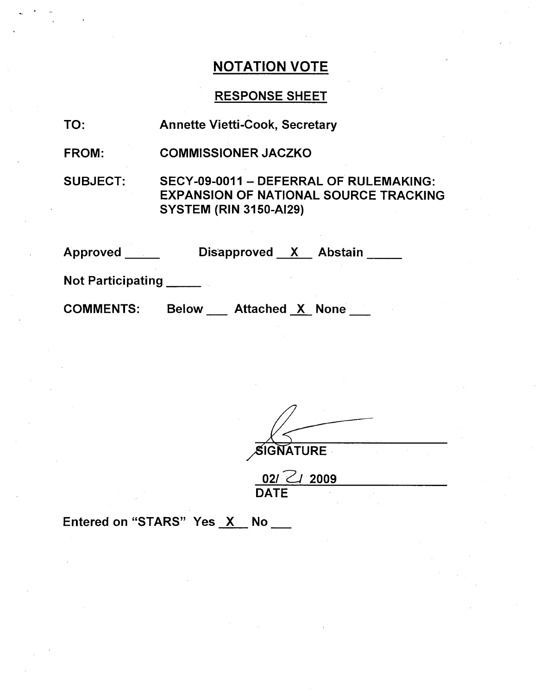# RESPONSE SHEET

| TO:               | <b>Annette Vietti-Cook, Secretary</b>                                                                                   |  |  |  |
|-------------------|-------------------------------------------------------------------------------------------------------------------------|--|--|--|
| <b>FROM:</b>      | <b>COMMISSIONER JACZKO</b>                                                                                              |  |  |  |
| <b>SUBJECT:</b>   | SECY-09-0011 - DEFERRAL OF RULEMAKING:<br><b>EXPANSION OF NATIONAL SOURCE TRACKING</b><br><b>SYSTEM (RIN 3150-AI29)</b> |  |  |  |
| <b>Approved</b>   | Disapproved X Abstain                                                                                                   |  |  |  |
| Not Participating |                                                                                                                         |  |  |  |
| <b>COMMENTS:</b>  | <b>Below</b><br><b>Attached X None</b>                                                                                  |  |  |  |

| SIGNATURE |  |  |
|-----------|--|--|

| $021 \angle 12009$ |  |  |
|--------------------|--|--|
| <b>DATE</b>        |  |  |

Entered on "STARS" Yes  $X$  No  $\_\_\_\$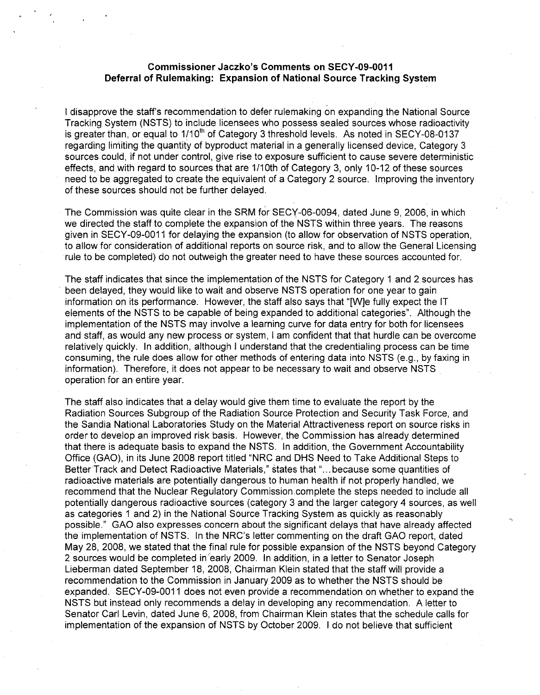#### Commissioner Jaczko's Comments on **SECY-09-0011** Deferral of Rulemaking: Expansion of National Source Tracking System

I disapprove the staff's recommendation to defer rulemaking on expanding the National Source Tracking System (NSTS) to include licensees who possess sealed sources whose radioactivity is greater than, or equal to 1/10<sup>th</sup> of Category 3 threshold levels. As noted in SECY-08-0137 regarding limiting the quantity of byproduct material in a generally licensed device, Category 3 sources could, if not under control, give rise to exposure sufficient to cause severe deterministic effects, and with regard to sources that are 1/10th of Category 3, only 10-12 of these sources need to be aggregated to create the equivalent of a Category 2 source. Improving the inventory of these sources should not be further delayed.

The Commission was quite clear in the SRM for SECY-06-0094, dated June 9, 2006, in which we directed the staff to complete the expansion of the NSTS within three years. The reasons given in SECY-09-0011 for delaying the expansion (to allow for observation of NSTS operation, to allow for consideration of additional reports on source risk, and to allow the General Licensing rule to be completed) do not outweigh the greater need to have these sources accounted for.

The staff indicates that since the implementation of the NSTS for Category 1 and 2 sources has been delayed, they would like to wait and observe NSTS operation for one year to gain information on its performance. However, the staff also says that "[W]e fully expect the IT elements of the NSTS to be capable of being expanded to additional categories". Although the implementation of the NSTS may involve a learning curve for data entry for both for licensees and staff, as would any new process or system, I am confident that that hurdle can be overcome relatively quickly. In addition, although I understand that the credentialing process can be time consuming, the rule does allow for other methods of entering data into NSTS (e.g., by faxing in information). Therefore, it does not appear to be necessary to wait and observe NSTS operation for an entire year.

The staff also indicates that a delay would give them time to evaluate the report by the Radiation Sources Subgroup of the Radiation Source Protection and Security Task Force, and the Sandia National Laboratories Study on the Material Attractiveness report on source risks in order to develop an improved risk basis. However, the Commission has already determined that there is adequate basis to expand the NSTS. In addition, the Government Accountability Office (GAO), in its June 2008 report titled "NRC and DHS Need to Take Additional Steps to Better Track and Detect Radioactive Materials," states that **"..** .because some quantities of radioactive materials are potentially dangerous to human health if not properly handled, we recommend that the Nuclear Regulatory Commission complete the steps needed to include all potentially dangerous radioactive sources (category 3 and the larger category 4 sources, as well as categories 1 and 2) in the National Source Tracking System as quickly as reasonably possible." GAO also expresses concern about the significant delays that have already affected the implementation of NSTS. In the NRC's letter commenting on the draft GAO report, dated May 28, 2008, we stated that the final rule for possible expansion of the NSTS beyond Category 2 sources would be completed in'early 2009. In addition, in a letter to Senator Joseph Lieberman dated September 18, 2008, Chairman Klein stated that the staff will provide a recommendation to the Commission in January 2009 as to whether the NSTS should be expanded. SECY-09-0011 does not even provide a recommendation on whether to expand the NSTS but instead only recommends a delay in developing any recommendation. A letter to Senator Carl Levin, dated June 6, 2008, from Chairman Klein states that the schedule calls for implementation of the expansion of NSTS by October 2009. I do not believe that sufficient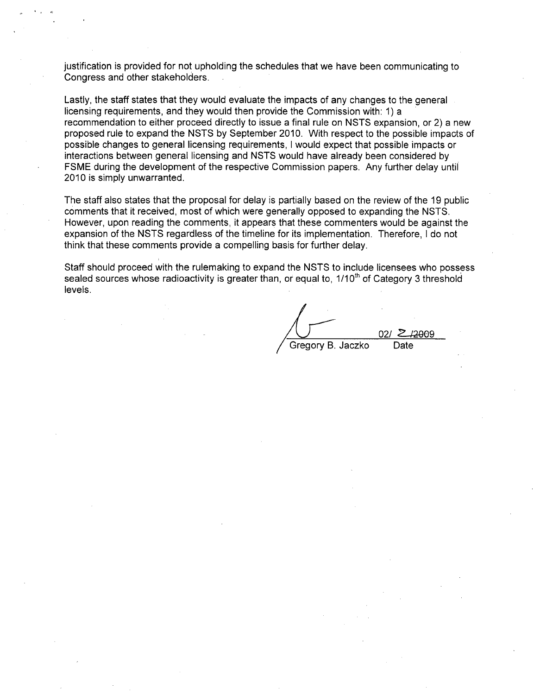justification is provided for not upholding the schedules that we have been communicating to Congress and other stakeholders.

Lastly, the staff states that they would evaluate the impacts of any changes to the general licensing requirements, and they would then provide the Commission with: 1) a recommendation to either proceed directly to issue a final rule on NSTS expansion, or 2) a new proposed rule to expand the NSTS by September 2010. With respect to the possible impacts of possible changes to general licensing requirements, I would expect that possible impacts or interactions between general licensing and NSTS would have already been considered by FSME during the development of the respective Commission papers. Any further delay until 2010 is simply unwarranted.

The staff also states that the proposal for delay is partially based on the review of the 19 public comments that it received, most of which were generally opposed to expanding the NSTS. However, upon reading the comments, it appears that these commenters would be against the expansion of the NSTS regardless of the timeline for its implementation. Therefore, I do not think that these comments provide a compelling basis for further delay.

Staff should proceed with the rulemaking to expand the NSTS to include licensees who possess sealed sources whose radioactivity is greater than, or equal to, 1/10<sup>th</sup> of Category 3 threshold levels.

02/ 2<del>/2009</del><br>Date Gregory B. Jaczko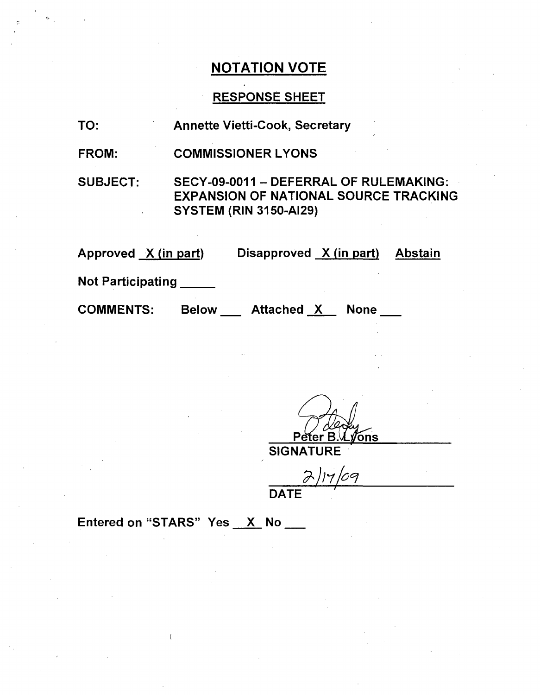## RESPONSE SHEET

FROM: COMMISSIONER LYONS

SUBJECT:

SECY-09-0011 - DEFERRAL OF RULEMAKING: EXPANSION OF NATIONAL SOURCE TRACKING SYSTEM (RIN 3150-AI29)

Approved <u>X (in part</u>) Disapproved <u>X (in part) Abstair</u>

Not Participating \_\_\_\_\_

**COMMENTS:** 

Below Attached X None

*V*ons

**SIGNATURE** 

 $14/09$ DATE

Entered on "STARS" Yes X No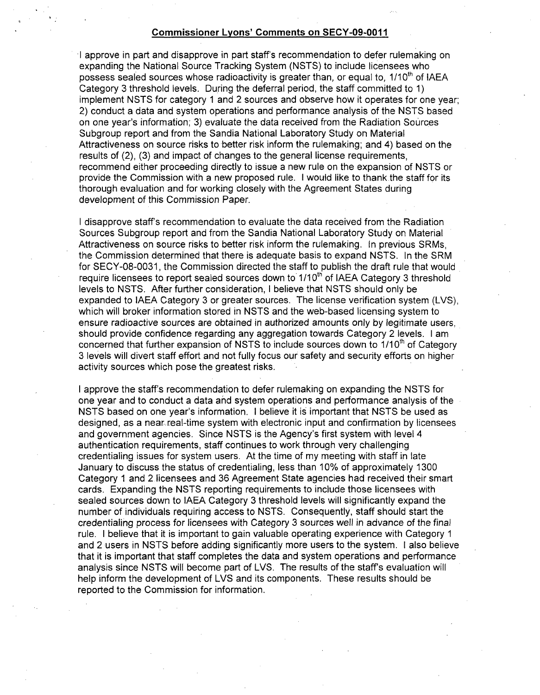#### Commissioner Lyons' Comments on **SECY-09-O011**

**.1** approve in part and disapprove in part staff's recommendation to defer rulemaking on expanding the National Source Tracking System (NSTS) to include licensees who possess sealed sources whose radioactivity is greater than, or equal to, 1/10<sup>th</sup> of IAEA Category 3 threshold levels. During the deferral period, the staff committed to 1) implement NSTS for category 1 and 2 sources and observe how it operates for one year; 2) conduct a data and system operations and performance analysis of the NSTS based on one year's information; 3) evaluate the data received from the Radiation Sources Subgroup report and from the Sandia National Laboratory Study on Material Attractiveness on source risks to better risk inform the rulemaking; and 4) based on the results of (2), (3) and impact of changes to the general license requirements, recommend either proceeding directly to issue a new rule on the expansion of NSTS or provide the Commission with a new proposed rule. I would like to thank the staff for its thorough evaluation and for working closely with the Agreement States during development of this Commission Paper.

I disapprove staff's recommendation to evaluate the data received from the Radiation Sources Subgroup report and from the Sandia National Laboratory Study on Material Attractiveness on source risks to better risk inform the rulemaking. In previous SRMs, the Commission determined that there is adequate basis to expand NSTS. In the SRM for SECY-08-0031, the Commission directed the staff to publish the draft rule that would require licensees to report sealed sources down to  $1/10<sup>th</sup>$  of IAEA Category 3 threshold levels to NSTS. After further consideration, I believe that NSTS should only be expanded to IAEA Category 3 or greater sources. The license verification system (LVS), which will broker information stored in NSTS and the web-based licensing system to ensure radioactive sources are obtained in authorized amounts only by legitimate users. should provide confidence regarding any aggregation towards Category 2 levels. I am concerned that further expansion of NSTS to include sources down to 1/10<sup>th</sup> of Category 3 levels will divert staff effort and not fully focus our safety and security efforts on higher activity sources which pose the greatest risks.

I approve the staff's recommendation to defer rulemaking on expanding the NSTS for one year and to conduct a data and system operations and performance analysis of the NSTS based on one year's information. I believe it is important that NSTS be used as designed, as a near.real-time system with electronic input and confirmation by licensees and government agencies. Since NSTS is the Agency's first system with level 4 authentication requirements, staff continues to work through very challenging credentialing issues for system users. At the time of my meeting with staff in late January to discuss the status of credentialing, less than 10% of approximately 1300 Category 1 and 2 licensees and 36 Agreement State agencies had received their smart cards. Expanding the NSTS reporting requirements to include those licensees with sealed sources down to IAEA Category 3 threshold levels will significantly expand the number of individuals requiring access to NSTS. Consequently, staff should start the credentialing process for licensees with Category 3 sources well in advance of the final rule. I believe that it is important to gain valuable operating experience with Category 1 and 2 users in NSTS before adding significantly more users to the system. I also believe that it is important that staff completes the data and system operations and performance analysis since NSTS will become part of LVS. The results of the staff's evaluation will help inform the development of LVS and its components. These results should be reported to the Commission for information.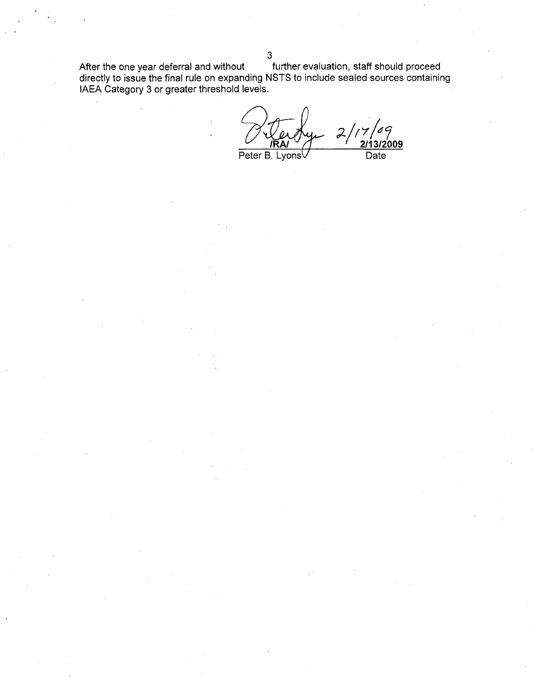After the one year deferral and without \_\_\_\_\_\_ further evaluation, staff should proceed directly to issue the final rule on expanding NSTS to include sealed sources containing IAEA Category 3 or greater threshold levels.

**-21132009**  $\mathcal{Z}$ Peter B. LyonsV **Date** 

**3**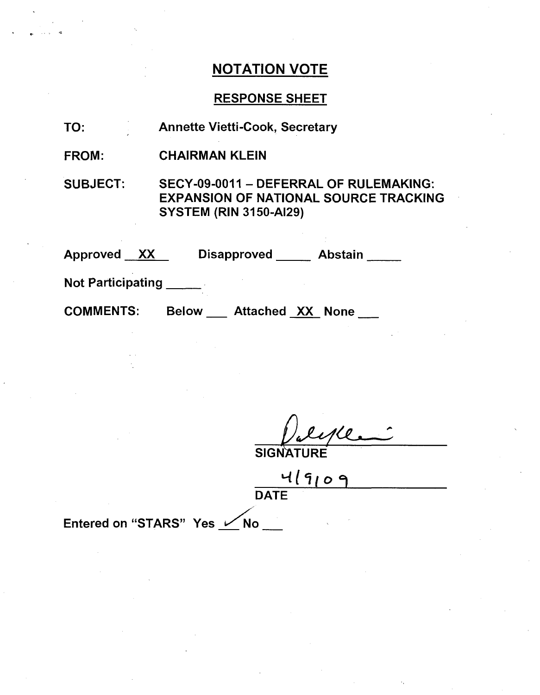## RESPONSE SHEET

- TO: Annette Vietti-Cook, Secretary
- FROM: CHAIRMAN KLEIN

SUBJECT: SECY-09-0011 - DEFERRAL OF RULEMAKING: EXPANSION OF NATIONAL SOURCE TRACKING SYSTEM (RIN 3150-AI29)

Approved XX Disapproved Abstain

Not Participating

COMMENTS: Below Attached XX None

**SIGNA** 

4/9109 **DATE** 

Entered on "STARS" Yes <u>V No</u>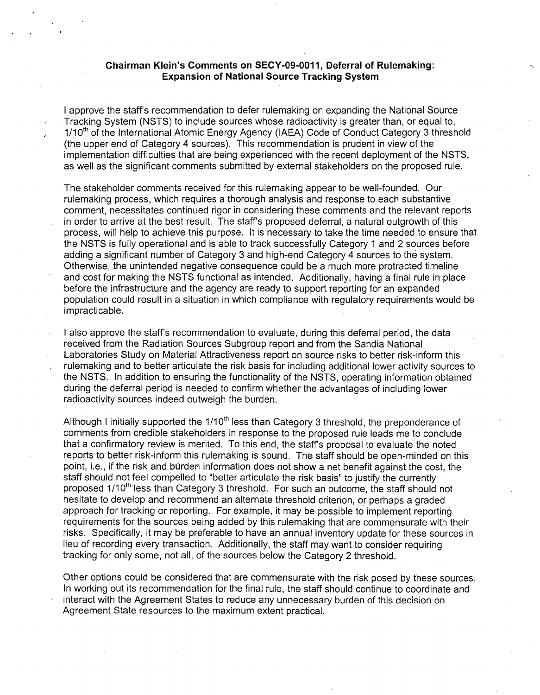### Chairman Klein's Comments on **SECY-09-0011,** Deferral of Rulemaking: Expansion of National Source Tracking System

I approve the staff's recommendation to defer rulemaking on expanding the National Source Tracking System (NSTS) to include sources whose radioactivity is greater than, or equal to, 1/10<sup>th</sup> of the International Atomic Energy Agency (IAEA) Code of Conduct Category 3 threshold (the upper end of Category 4 sources). This recommendation is prudent in view of the implementation difficulties that are being experienced with the recent deployment of the NSTS, as well as the significant comments submitted by external stakeholders on the proposed rule.

The stakeholder comments received for this rulemaking appear to be well-founded. Our rulemaking process, which requires a thorough analysis and response to each substantive comment, necessitates continued rigor in considering these comments and the relevant reports in order to arrive at the best result. The staff's proposed deferral, a natural outgrowth of this process, will help to achieve this purpose. It is necessary to take the time needed to ensure that the NSTS is fully operational and is able to track successfully Category 1 and 2 sources before adding a significant number of Category 3 and high-end Category 4 sources to the system. Otherwise, the unintended negative consequence could be a much more protracted timeline and cost for making the NSTS functional as intended. Additionally, having a final rule in place before the infrastructure and the agency are ready to support reporting for an expanded population could result in a situation in which compliance with regulatory requirements would be impracticable.

I also approve the staff's recommendation to evaluate, during this deferral period, the data received from the Radiation Sources Subgroup report and from the Sandia National Laboratories Study on Material Attractiveness report on source risks to better risk-inform this rulemaking and to better articulate the risk basis for including additional lower activity sources to the NSTS. In addition to ensuring the functionality of the NSTS, operating information obtained during the deferral period is needed to confirm whether the advantages of including lower radioactivity sources indeed outweigh the burden.

Although I initially supported the 1/10<sup>th</sup> less than Category 3 threshold, the preponderance of comments from credible stakeholders in response to the proposed rule leads me to conclude that a confirmatory review is merited. To this end, the staff's proposal to evaluate the noted reports to better risk-inform this rulemaking is sound. The staff should be open-minded on this point, i.e., if the risk and burden information does not show a net benefit against the cost, the staff should not feel compelled to "better articulate the risk basis" to justify the currently proposed 1/10<sup>th</sup> less than Category 3 threshold. For such an outcome, the staff should not hesitate to develop and recommend an alternate threshold criterion, or perhaps a graded approach for tracking or reporting. For example, it may be possible to implement reporting requirements for the sources being added by this rulemaking that are commensurate with their risks. Specifically, it may be preferable to have an annual inventory update for these sources in lieu of recording every transaction. Additionally, the staff may want to consider requiring tracking for only some, not all, of the sources below the Category 2 threshold.

Other options could be considered that are commensurate with the risk posed by these sources. In working out its recommendation for the final rule, the staff should continue to coordinate and interact with the Agreement States to reduce any unnecessary burden of this decision on Agreement State resources to the maximum extent practical.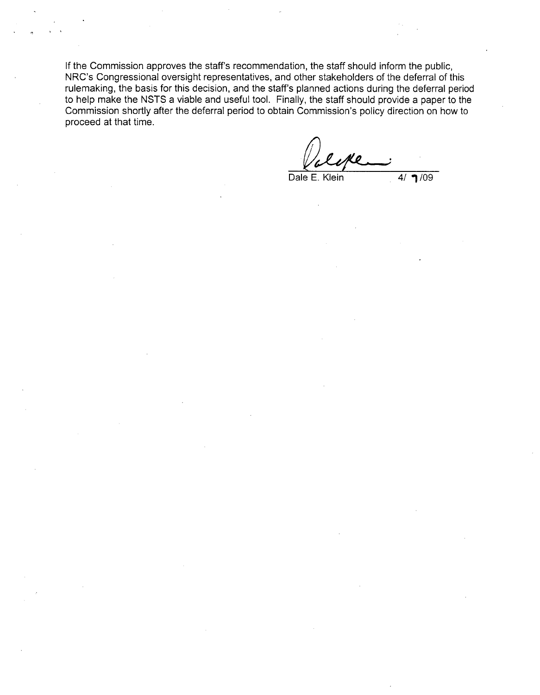If the Commission approves the staff's recommendation, the staff should inform the public, NRC's Congressional oversight representatives, and other stakeholders of the deferral of this rulemaking, the basis for this decision, and the staff's planned actions during the deferral period to help make the NSTS a viable and useful tool. Finally, the staff should provide a paper to the Commission shortly after the deferral period to obtain Commission's policy direction on how to proceed at that time.

Dale E. Klein  $4/$  1/09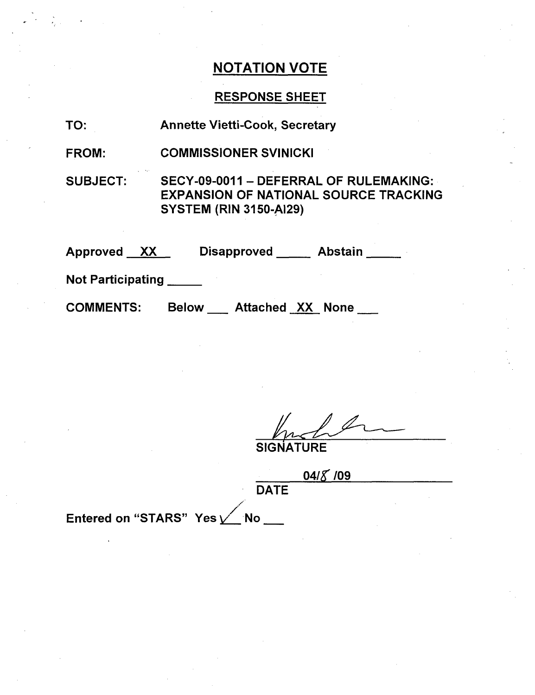# RESPONSE SHEET

| TO:                      | <b>Annette Vietti-Cook, Secretary</b>                                                                                   |  |  |  |
|--------------------------|-------------------------------------------------------------------------------------------------------------------------|--|--|--|
| <b>FROM:</b>             | <b>COMMISSIONER SVINICKI</b>                                                                                            |  |  |  |
| <b>SUBJECT:</b>          | SECY-09-0011 - DEFERRAL OF RULEMAKING:<br><b>EXPANSION OF NATIONAL SOURCE TRACKING</b><br><b>SYSTEM (RIN 3150-AI29)</b> |  |  |  |
| Approved XX              | Disapproved Abstain                                                                                                     |  |  |  |
| <b>Not Participating</b> |                                                                                                                         |  |  |  |
| <b>COMMENTS:</b>         | Below Attached XX None                                                                                                  |  |  |  |

 $\ell$ **SIGNATURE** 

|             | 04/8/09 |  |  |
|-------------|---------|--|--|
| <b>DATE</b> |         |  |  |

Entered on "STARS" Yes <u>V</u> No